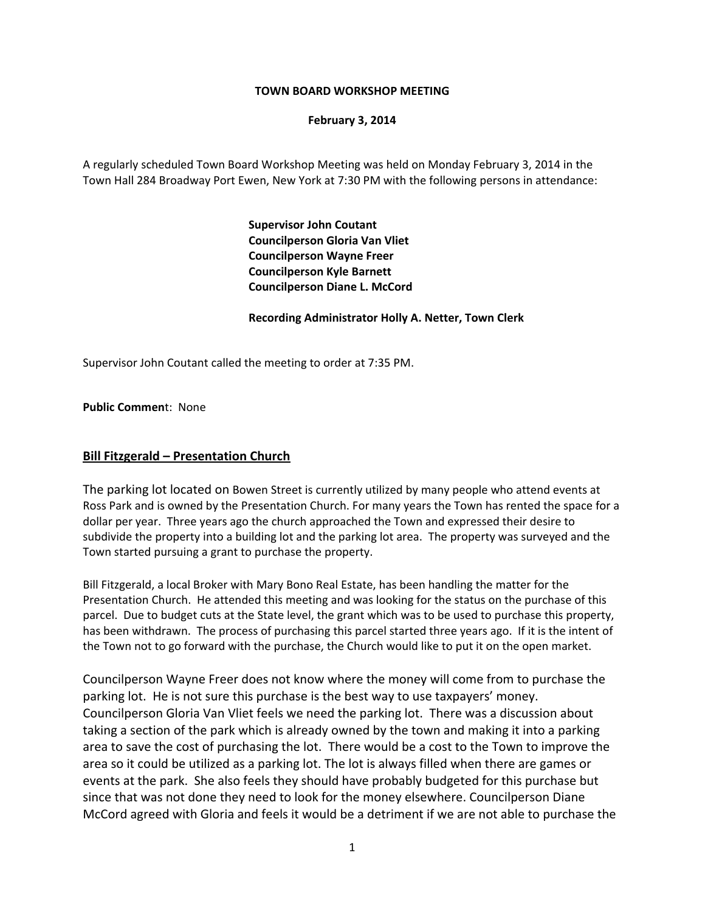#### **TOWN BOARD WORKSHOP MEETING**

#### **February 3, 2014**

A regularly scheduled Town Board Workshop Meeting was held on Monday February 3, 2014 in the Town Hall 284 Broadway Port Ewen, New York at 7:30 PM with the following persons in attendance:

> **Supervisor John Coutant Councilperson Gloria Van Vliet Councilperson Wayne Freer Councilperson Kyle Barnett Councilperson Diane L. McCord**

#### **Recording Administrator Holly A. Netter, Town Clerk**

Supervisor John Coutant called the meeting to order at 7:35 PM.

**Public Commen**t: None

### **Bill Fitzgerald – Presentation Church**

The parking lot located on Bowen Street is currently utilized by many people who attend events at Ross Park and is owned by the Presentation Church. For many years the Town has rented the space for a dollar per year. Three years ago the church approached the Town and expressed their desire to subdivide the property into a building lot and the parking lot area. The property was surveyed and the Town started pursuing a grant to purchase the property.

Bill Fitzgerald, a local Broker with Mary Bono Real Estate, has been handling the matter for the Presentation Church. He attended this meeting and was looking for the status on the purchase of this parcel. Due to budget cuts at the State level, the grant which was to be used to purchase this property, has been withdrawn. The process of purchasing this parcel started three years ago. If it is the intent of the Town not to go forward with the purchase, the Church would like to put it on the open market.

Councilperson Wayne Freer does not know where the money will come from to purchase the parking lot. He is not sure this purchase is the best way to use taxpayers' money. Councilperson Gloria Van Vliet feels we need the parking lot. There was a discussion about taking a section of the park which is already owned by the town and making it into a parking area to save the cost of purchasing the lot. There would be a cost to the Town to improve the area so it could be utilized as a parking lot. The lot is always filled when there are games or events at the park. She also feels they should have probably budgeted for this purchase but since that was not done they need to look for the money elsewhere. Councilperson Diane McCord agreed with Gloria and feels it would be a detriment if we are not able to purchase the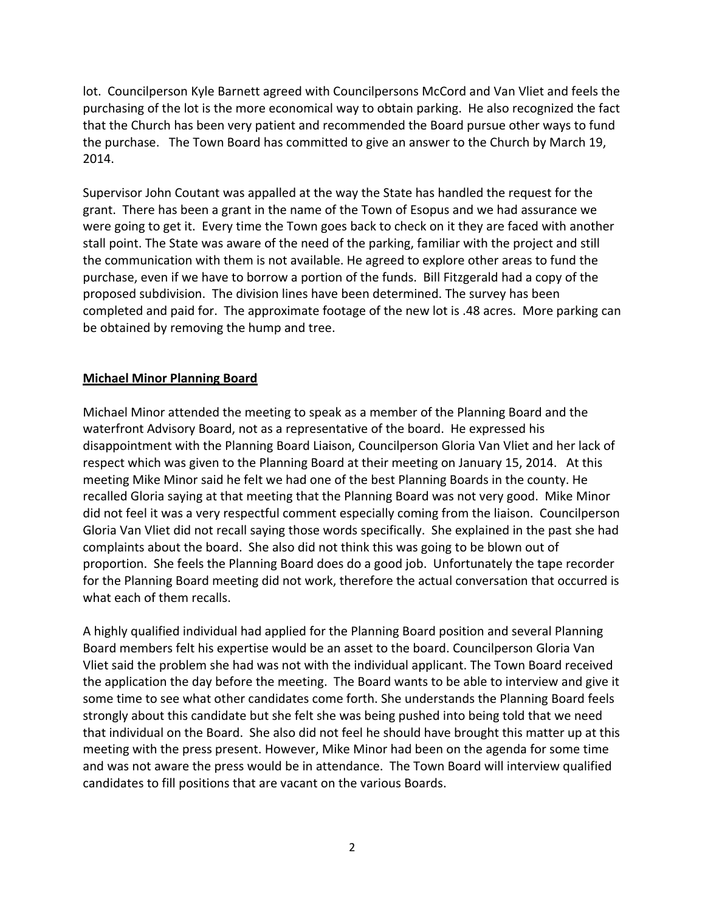lot. Councilperson Kyle Barnett agreed with Councilpersons McCord and Van Vliet and feels the purchasing of the lot is the more economical way to obtain parking. He also recognized the fact that the Church has been very patient and recommended the Board pursue other ways to fund the purchase. The Town Board has committed to give an answer to the Church by March 19, 2014.

Supervisor John Coutant was appalled at the way the State has handled the request for the grant. There has been a grant in the name of the Town of Esopus and we had assurance we were going to get it. Every time the Town goes back to check on it they are faced with another stall point. The State was aware of the need of the parking, familiar with the project and still the communication with them is not available. He agreed to explore other areas to fund the purchase, even if we have to borrow a portion of the funds. Bill Fitzgerald had a copy of the proposed subdivision. The division lines have been determined. The survey has been completed and paid for. The approximate footage of the new lot is .48 acres. More parking can be obtained by removing the hump and tree.

## **Michael Minor Planning Board**

Michael Minor attended the meeting to speak as a member of the Planning Board and the waterfront Advisory Board, not as a representative of the board. He expressed his disappointment with the Planning Board Liaison, Councilperson Gloria Van Vliet and her lack of respect which was given to the Planning Board at their meeting on January 15, 2014. At this meeting Mike Minor said he felt we had one of the best Planning Boards in the county. He recalled Gloria saying at that meeting that the Planning Board was not very good. Mike Minor did not feel it was a very respectful comment especially coming from the liaison. Councilperson Gloria Van Vliet did not recall saying those words specifically. She explained in the past she had complaints about the board. She also did not think this was going to be blown out of proportion. She feels the Planning Board does do a good job. Unfortunately the tape recorder for the Planning Board meeting did not work, therefore the actual conversation that occurred is what each of them recalls.

A highly qualified individual had applied for the Planning Board position and several Planning Board members felt his expertise would be an asset to the board. Councilperson Gloria Van Vliet said the problem she had was not with the individual applicant. The Town Board received the application the day before the meeting. The Board wants to be able to interview and give it some time to see what other candidates come forth. She understands the Planning Board feels strongly about this candidate but she felt she was being pushed into being told that we need that individual on the Board. She also did not feel he should have brought this matter up at this meeting with the press present. However, Mike Minor had been on the agenda for some time and was not aware the press would be in attendance. The Town Board will interview qualified candidates to fill positions that are vacant on the various Boards.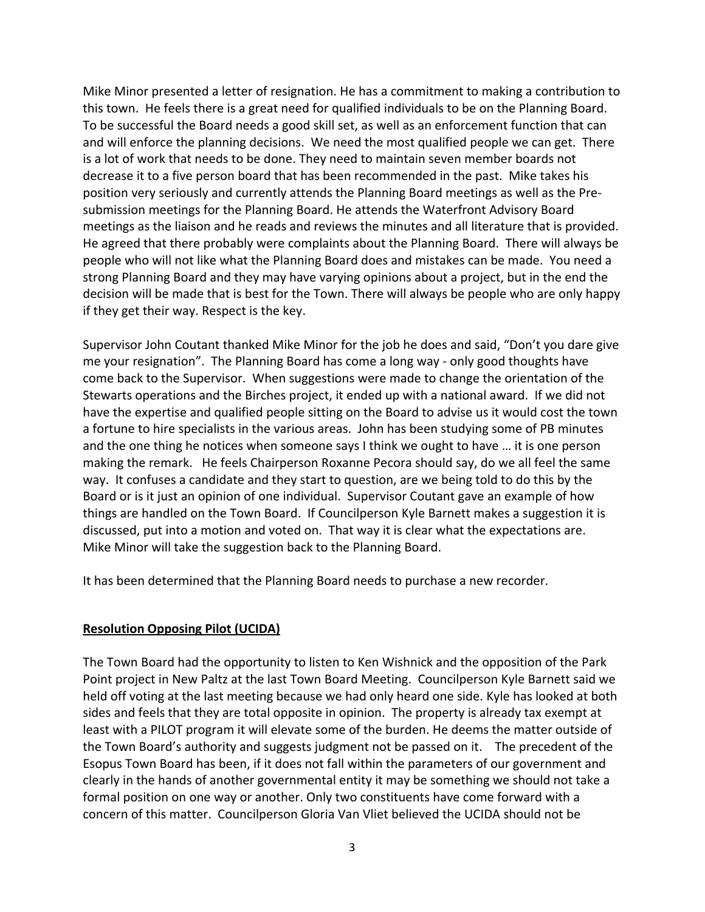Mike Minor presented a letter of resignation. He has a commitment to making a contribution to this town. He feels there is a great need for qualified individuals to be on the Planning Board. To be successful the Board needs a good skill set, as well as an enforcement function that can and will enforce the planning decisions. We need the most qualified people we can get. There is a lot of work that needs to be done. They need to maintain seven member boards not decrease it to a five person board that has been recommended in the past. Mike takes his position very seriously and currently attends the Planning Board meetings as well as the Pre‐ submission meetings for the Planning Board. He attends the Waterfront Advisory Board meetings as the liaison and he reads and reviews the minutes and all literature that is provided. He agreed that there probably were complaints about the Planning Board. There will always be people who will not like what the Planning Board does and mistakes can be made. You need a strong Planning Board and they may have varying opinions about a project, but in the end the decision will be made that is best for the Town. There will always be people who are only happy if they get their way. Respect is the key.

Supervisor John Coutant thanked Mike Minor for the job he does and said, "Don't you dare give me your resignation". The Planning Board has come a long way ‐ only good thoughts have come back to the Supervisor. When suggestions were made to change the orientation of the Stewarts operations and the Birches project, it ended up with a national award. If we did not have the expertise and qualified people sitting on the Board to advise us it would cost the town a fortune to hire specialists in the various areas. John has been studying some of PB minutes and the one thing he notices when someone says I think we ought to have … it is one person making the remark. He feels Chairperson Roxanne Pecora should say, do we all feel the same way. It confuses a candidate and they start to question, are we being told to do this by the Board or is it just an opinion of one individual. Supervisor Coutant gave an example of how things are handled on the Town Board. If Councilperson Kyle Barnett makes a suggestion it is discussed, put into a motion and voted on. That way it is clear what the expectations are. Mike Minor will take the suggestion back to the Planning Board.

It has been determined that the Planning Board needs to purchase a new recorder.

### **Resolution Opposing Pilot (UCIDA)**

The Town Board had the opportunity to listen to Ken Wishnick and the opposition of the Park Point project in New Paltz at the last Town Board Meeting. Councilperson Kyle Barnett said we held off voting at the last meeting because we had only heard one side. Kyle has looked at both sides and feels that they are total opposite in opinion. The property is already tax exempt at least with a PILOT program it will elevate some of the burden. He deems the matter outside of the Town Board's authority and suggests judgment not be passed on it. The precedent of the Esopus Town Board has been, if it does not fall within the parameters of our government and clearly in the hands of another governmental entity it may be something we should not take a formal position on one way or another. Only two constituents have come forward with a concern of this matter. Councilperson Gloria Van Vliet believed the UCIDA should not be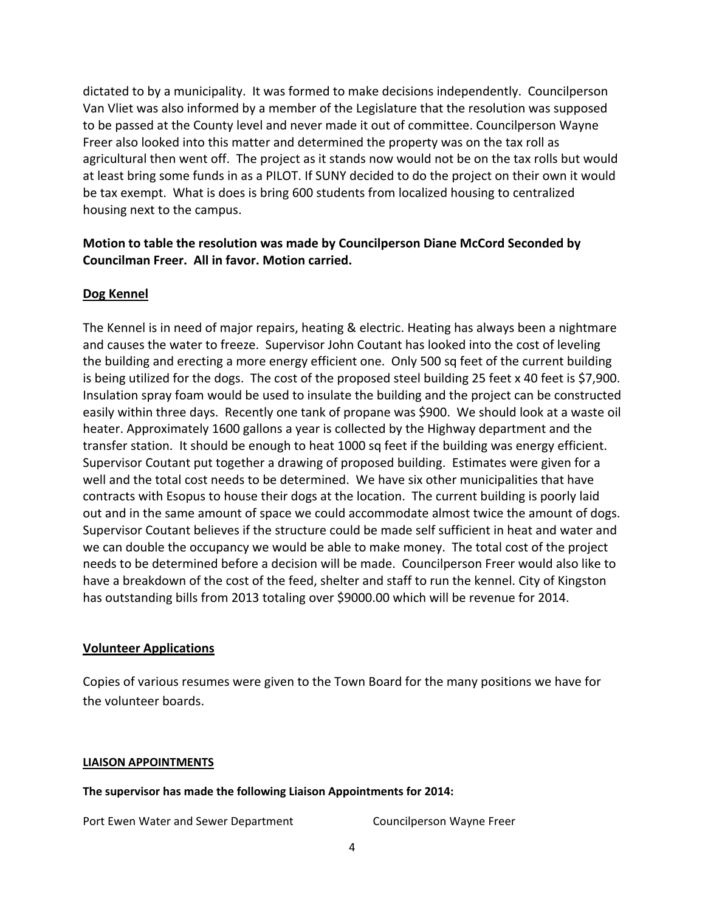dictated to by a municipality. It was formed to make decisions independently. Councilperson Van Vliet was also informed by a member of the Legislature that the resolution was supposed to be passed at the County level and never made it out of committee. Councilperson Wayne Freer also looked into this matter and determined the property was on the tax roll as agricultural then went off. The project as it stands now would not be on the tax rolls but would at least bring some funds in as a PILOT. If SUNY decided to do the project on their own it would be tax exempt. What is does is bring 600 students from localized housing to centralized housing next to the campus.

## **Motion to table the resolution was made by Councilperson Diane McCord Seconded by Councilman Freer. All in favor. Motion carried.**

## **Dog Kennel**

The Kennel is in need of major repairs, heating & electric. Heating has always been a nightmare and causes the water to freeze. Supervisor John Coutant has looked into the cost of leveling the building and erecting a more energy efficient one. Only 500 sq feet of the current building is being utilized for the dogs. The cost of the proposed steel building 25 feet x 40 feet is \$7,900. Insulation spray foam would be used to insulate the building and the project can be constructed easily within three days. Recently one tank of propane was \$900. We should look at a waste oil heater. Approximately 1600 gallons a year is collected by the Highway department and the transfer station. It should be enough to heat 1000 sq feet if the building was energy efficient. Supervisor Coutant put together a drawing of proposed building. Estimates were given for a well and the total cost needs to be determined. We have six other municipalities that have contracts with Esopus to house their dogs at the location. The current building is poorly laid out and in the same amount of space we could accommodate almost twice the amount of dogs. Supervisor Coutant believes if the structure could be made self sufficient in heat and water and we can double the occupancy we would be able to make money. The total cost of the project needs to be determined before a decision will be made. Councilperson Freer would also like to have a breakdown of the cost of the feed, shelter and staff to run the kennel. City of Kingston has outstanding bills from 2013 totaling over \$9000.00 which will be revenue for 2014.

### **Volunteer Applications**

Copies of various resumes were given to the Town Board for the many positions we have for the volunteer boards.

### **LIAISON APPOINTMENTS**

**The supervisor has made the following Liaison Appointments for 2014:**

Port Ewen Water and Sewer Department **Sexual Connument** Councilperson Wayne Freer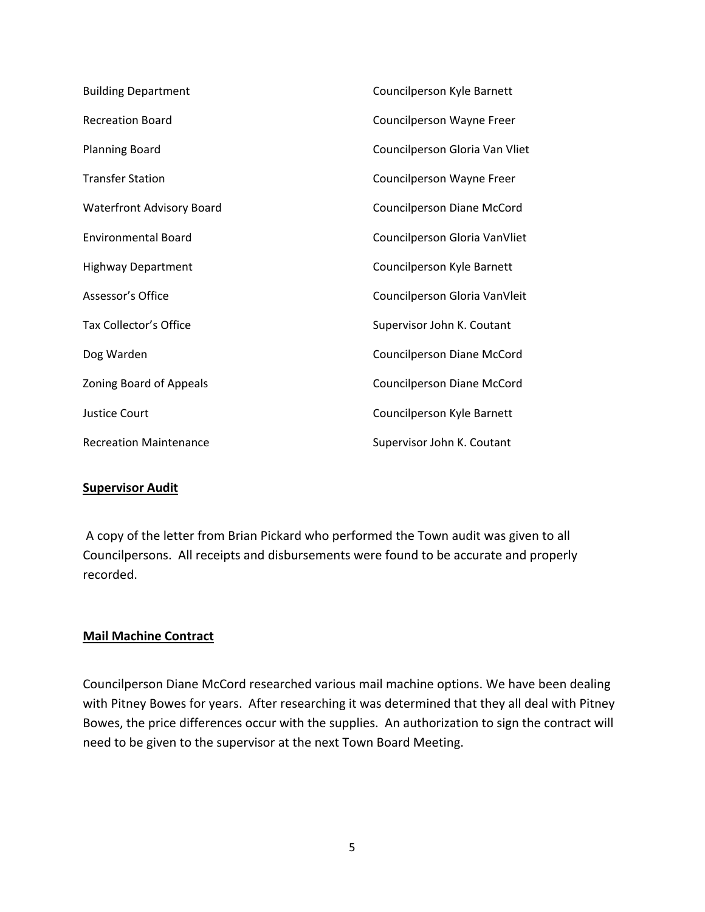| <b>Building Department</b>       | Councilperson Kyle Barnett     |
|----------------------------------|--------------------------------|
| <b>Recreation Board</b>          | Councilperson Wayne Freer      |
| <b>Planning Board</b>            | Councilperson Gloria Van Vliet |
| <b>Transfer Station</b>          | Councilperson Wayne Freer      |
| <b>Waterfront Advisory Board</b> | Councilperson Diane McCord     |
| <b>Environmental Board</b>       | Councilperson Gloria VanVliet  |
| <b>Highway Department</b>        | Councilperson Kyle Barnett     |
| Assessor's Office                | Councilperson Gloria VanVleit  |
| Tax Collector's Office           | Supervisor John K. Coutant     |
| Dog Warden                       | Councilperson Diane McCord     |
| Zoning Board of Appeals          | Councilperson Diane McCord     |
| <b>Justice Court</b>             | Councilperson Kyle Barnett     |
| <b>Recreation Maintenance</b>    | Supervisor John K. Coutant     |

### **Supervisor Audit**

A copy of the letter from Brian Pickard who performed the Town audit was given to all Councilpersons. All receipts and disbursements were found to be accurate and properly recorded.

### **Mail Machine Contract**

Councilperson Diane McCord researched various mail machine options. We have been dealing with Pitney Bowes for years. After researching it was determined that they all deal with Pitney Bowes, the price differences occur with the supplies. An authorization to sign the contract will need to be given to the supervisor at the next Town Board Meeting.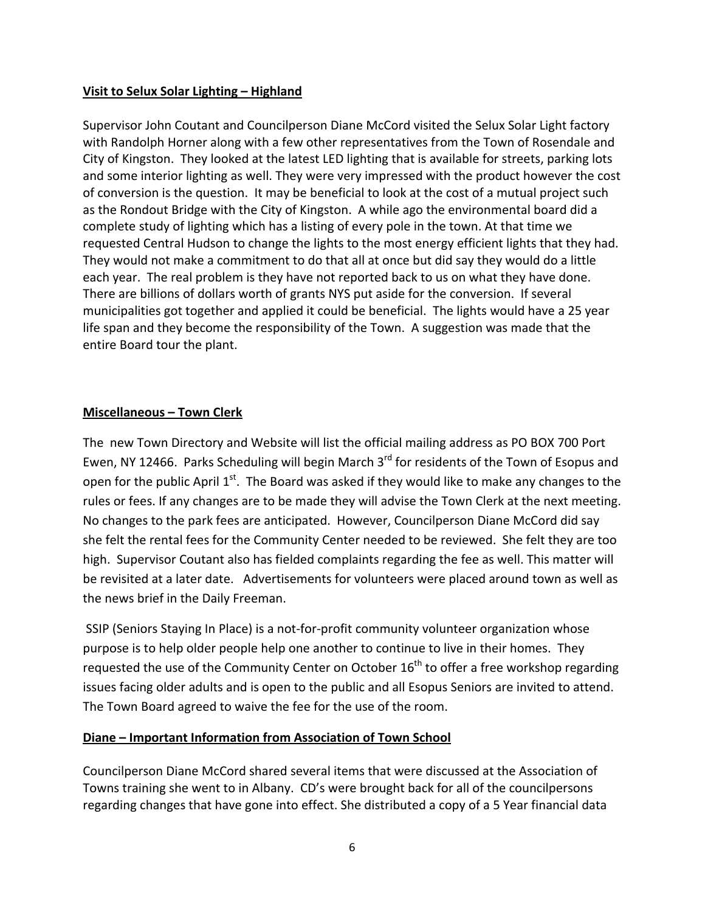## **Visit to Selux Solar Lighting – Highland**

Supervisor John Coutant and Councilperson Diane McCord visited the Selux Solar Light factory with Randolph Horner along with a few other representatives from the Town of Rosendale and City of Kingston. They looked at the latest LED lighting that is available for streets, parking lots and some interior lighting as well. They were very impressed with the product however the cost of conversion is the question. It may be beneficial to look at the cost of a mutual project such as the Rondout Bridge with the City of Kingston. A while ago the environmental board did a complete study of lighting which has a listing of every pole in the town. At that time we requested Central Hudson to change the lights to the most energy efficient lights that they had. They would not make a commitment to do that all at once but did say they would do a little each year. The real problem is they have not reported back to us on what they have done. There are billions of dollars worth of grants NYS put aside for the conversion. If several municipalities got together and applied it could be beneficial. The lights would have a 25 year life span and they become the responsibility of the Town. A suggestion was made that the entire Board tour the plant.

# **Miscellaneous – Town Clerk**

The new Town Directory and Website will list the official mailing address as PO BOX 700 Port Ewen, NY 12466. Parks Scheduling will begin March 3<sup>rd</sup> for residents of the Town of Esopus and open for the public April  $1<sup>st</sup>$ . The Board was asked if they would like to make any changes to the rules or fees. If any changes are to be made they will advise the Town Clerk at the next meeting. No changes to the park fees are anticipated. However, Councilperson Diane McCord did say she felt the rental fees for the Community Center needed to be reviewed. She felt they are too high. Supervisor Coutant also has fielded complaints regarding the fee as well. This matter will be revisited at a later date. Advertisements for volunteers were placed around town as well as the news brief in the Daily Freeman.

SSIP (Seniors Staying In Place) is a not‐for‐profit community volunteer organization whose purpose is to help older people help one another to continue to live in their homes. They requested the use of the Community Center on October  $16^{th}$  to offer a free workshop regarding issues facing older adults and is open to the public and all Esopus Seniors are invited to attend. The Town Board agreed to waive the fee for the use of the room.

# **Diane – Important Information from Association of Town School**

Councilperson Diane McCord shared several items that were discussed at the Association of Towns training she went to in Albany. CD's were brought back for all of the councilpersons regarding changes that have gone into effect. She distributed a copy of a 5 Year financial data